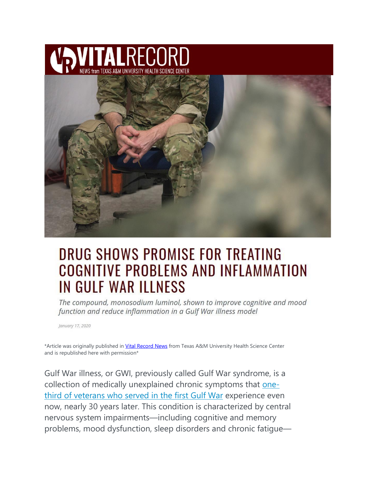



# DRUG SHOWS PROMISE FOR TREATING **COGNITIVE PROBLEMS AND INFLAMMATION IN GULF WAR ILLNESS**

The compound, monosodium luminol, shown to improve cognitive and mood function and reduce inflammation in a Gulf War illness model

January 17, 2020

\*Article was originally published in [Vital Record News](https://vitalrecord.tamhsc.edu/drug-shows-promise-for-treating-cognitive-problems-and-inflammation-in-gulf-war-illness/) from Texas A&M University Health Science Center and is republished here with permission\*

Gulf War illness, or GWI, previously called Gulf War syndrome, is a collection of medically unexplained chronic symptoms that [one](https://www.sciencedirect.com/science/article/pii/S0010945215003329)third of [veterans](https://www.sciencedirect.com/science/article/pii/S0010945215003329) who served in the first Gulf War experience even now, nearly 30 years later. This condition is characterized by central nervous system impairments—including cognitive and memory problems, mood dysfunction, sleep disorders and chronic fatigue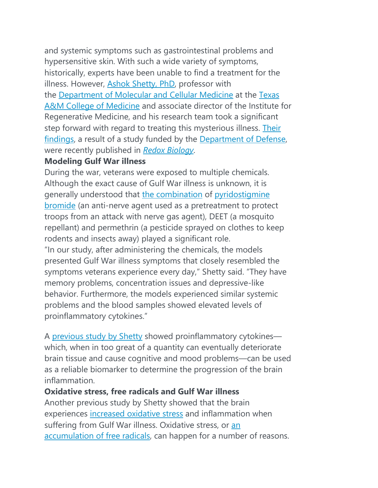and systemic symptoms such as gastrointestinal problems and hypersensitive skin. With such a wide variety of symptoms, historically, experts have been unable to find a treatment for the illness. However, Ashok [Shetty,](https://health.tamu.edu/experts/shetty.html) PhD, professor with the [Department](https://medicine.tamhsc.edu/departments/mcm/) of Molecular and Cellular Medicine at the [Texas](https://medicine.tamhsc.edu/) A&M College of [Medicine](https://medicine.tamhsc.edu/) and associate director of the Institute for Regenerative Medicine, and his research team took a significant step forward with regard to treating this mysterious illness. [Their](https://www.sciencedirect.com/science/article/pii/S2213231719311437?via%3Dihub) [findings,](https://www.sciencedirect.com/science/article/pii/S2213231719311437?via%3Dihub) a result of a study funded by the [Department](https://www.defense.gov/) of Defense, were recently published in *Redox [Biology](https://www.sciencedirect.com/science/article/pii/S2213231719311437)*.

#### **Modeling Gulf War illness**

During the war, veterans were exposed to multiple chemicals. Although the exact cause of Gulf War illness is unknown, it is generally understood that the [combination](https://www.ncbi.nlm.nih.gov/pubmed/10750168) of [pyridostigmine](https://www.publichealth.va.gov/exposures/gulfwar/sources/pyridostigmine-bromide.asp) [bromide](https://www.publichealth.va.gov/exposures/gulfwar/sources/pyridostigmine-bromide.asp) (an anti-nerve agent used as a pretreatment to protect troops from an attack with nerve gas agent), DEET (a mosquito repellant) and permethrin (a pesticide sprayed on clothes to keep rodents and insects away) played a significant role. "In our study, after administering the chemicals, the models presented Gulf War illness symptoms that closely resembled the symptoms veterans experience every day," Shetty said. "They have memory problems, concentration issues and depressive-like behavior. Furthermore, the models experienced similar systemic problems and the blood samples showed elevated levels of proinflammatory cytokines."

A [previous](https://vitalrecord.tamhsc.edu/possible-treatment-for-cognitive-dysfunction-related-to-gulf-war-illness/) study by Shetty showed proinflammatory cytokines which, when in too great of a quantity can eventually deteriorate brain tissue and cause cognitive and mood problems—can be used as a reliable biomarker to determine the progression of the brain inflammation.

## **Oxidative stress, free radicals and Gulf War illness**

Another previous study by Shetty showed that the brain experiences [increased](https://www.frontiersin.org/articles/10.3389/fnmol.2017.00182/full) oxidative stress and inflammation when suffering from Gulf War illness. Oxidative stress, or [an](https://www.ncbi.nlm.nih.gov/pmc/articles/PMC3614697/) [accumulation](https://www.ncbi.nlm.nih.gov/pmc/articles/PMC3614697/) of free radicals, can happen for a number of reasons.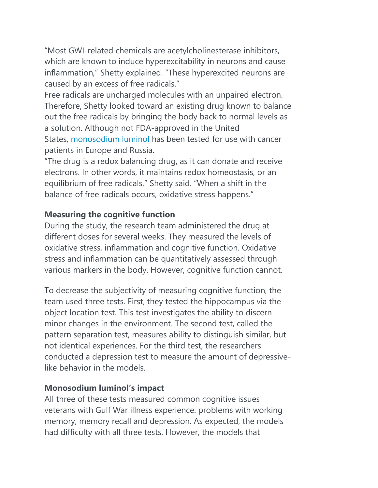"Most GWI-related chemicals are acetylcholinesterase inhibitors, which are known to induce hyperexcitability in neurons and cause inflammation," Shetty explained. "These hyperexcited neurons are caused by an excess of free radicals."

Free radicals are uncharged molecules with an unpaired electron. Therefore, Shetty looked toward an existing drug known to balance out the free radicals by bringing the body back to normal levels as a solution. Although not FDA-approved in the United States, [monosodium](https://www.bachpharma.com/science/) luminol has been tested for use with cancer patients in Europe and Russia.

"The drug is a redox balancing drug, as it can donate and receive electrons. In other words, it maintains redox homeostasis, or an equilibrium of free radicals," Shetty said. "When a shift in the balance of free radicals occurs, oxidative stress happens."

## **Measuring the cognitive function**

During the study, the research team administered the drug at different doses for several weeks. They measured the levels of oxidative stress, inflammation and cognitive function. Oxidative stress and inflammation can be quantitatively assessed through various markers in the body. However, cognitive function cannot.

To decrease the subjectivity of measuring cognitive function, the team used three tests. First, they tested the hippocampus via the object location test. This test investigates the ability to discern minor changes in the environment. The second test, called the pattern separation test, measures ability to distinguish similar, but not identical experiences. For the third test, the researchers conducted a depression test to measure the amount of depressivelike behavior in the models.

#### **Monosodium luminol's impact**

All three of these tests measured common cognitive issues veterans with Gulf War illness experience: problems with working memory, memory recall and depression. As expected, the models had difficulty with all three tests. However, the models that